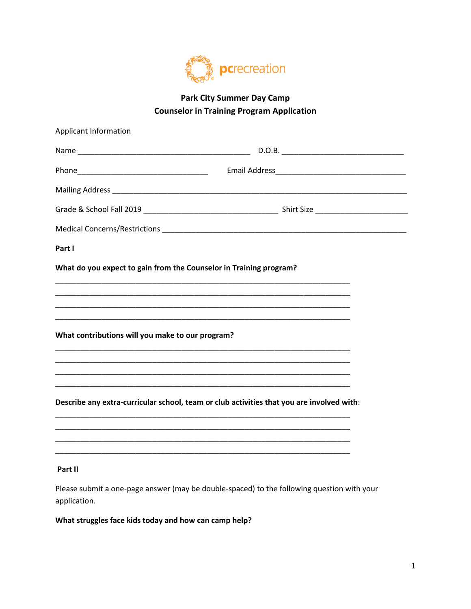

## **Park City Summer Day Camp Counselor in Training Program Application**

| Applicant Information                                              |                                                                                           |
|--------------------------------------------------------------------|-------------------------------------------------------------------------------------------|
|                                                                    |                                                                                           |
|                                                                    |                                                                                           |
|                                                                    |                                                                                           |
|                                                                    |                                                                                           |
|                                                                    |                                                                                           |
| Part I                                                             |                                                                                           |
| What do you expect to gain from the Counselor in Training program? |                                                                                           |
|                                                                    |                                                                                           |
|                                                                    | <u> 1989 - Johann Stoff, amerikansk politiker (d. 1989)</u>                               |
| What contributions will you make to our program?                   |                                                                                           |
|                                                                    |                                                                                           |
|                                                                    |                                                                                           |
|                                                                    |                                                                                           |
|                                                                    | Describe any extra-curricular school, team or club activities that you are involved with: |
|                                                                    |                                                                                           |
|                                                                    |                                                                                           |
| Part II                                                            |                                                                                           |

Please submit a one-page answer (may be double-spaced) to the following question with your application.

What struggles face kids today and how can camp help?